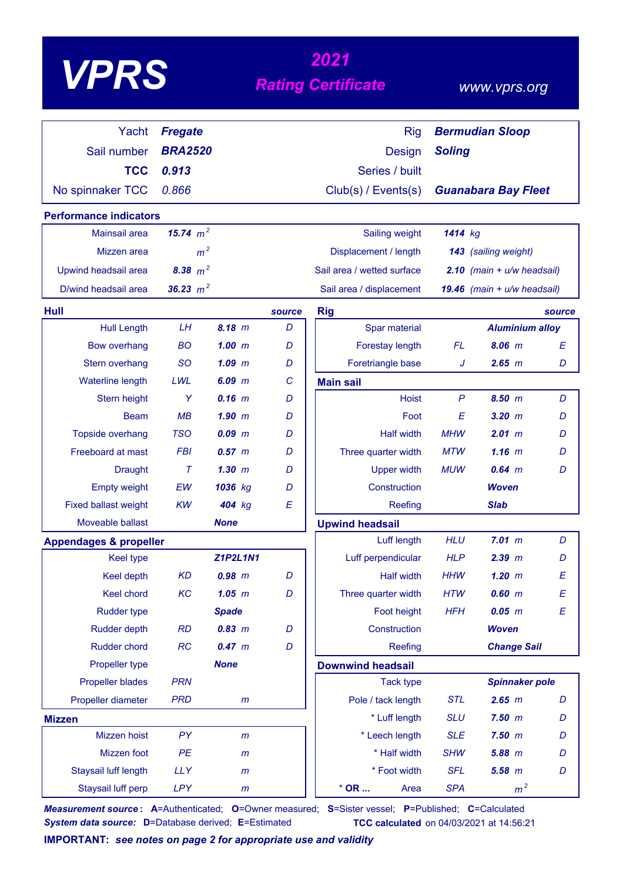| VPE |
|-----|
|-----|

# *<sup>2021</sup> VPRS Rating Certificate*

### *www.vprs.org*

| Yacht                                          | <b>Fregate</b> |                 |        | <b>Rig</b>                 |               | <b>Bermudian Sloop</b>         |                  |
|------------------------------------------------|----------------|-----------------|--------|----------------------------|---------------|--------------------------------|------------------|
| Sail number                                    | <b>BRA2520</b> |                 |        | <b>Design</b>              | <b>Soling</b> |                                |                  |
| <b>TCC</b>                                     | 0.913          |                 |        | Series / built             |               |                                |                  |
| No spinnaker TCC                               | 0.866          |                 |        | Club(s) / Events(s)        |               | <b>Guanabara Bay Fleet</b>     |                  |
|                                                |                |                 |        |                            |               |                                |                  |
| <b>Performance indicators</b><br>Mainsail area | 15.74 $m^2$    |                 |        | Sailing weight             | 1414 kg       |                                |                  |
|                                                |                |                 |        |                            |               |                                |                  |
| Mizzen area                                    | m <sup>2</sup> |                 |        | Displacement / length      |               | 143 (sailing weight)           |                  |
| Upwind headsail area                           | 8.38 $m^2$     |                 |        | Sail area / wetted surface |               | $2.10$ (main + $u/w$ headsail) |                  |
| D/wind headsail area                           | 36.23 $m^2$    |                 |        | Sail area / displacement   |               | 19.46 $(main + u/w headsail)$  |                  |
| Hull                                           |                |                 | source | <b>Rig</b>                 |               |                                | source           |
| <b>Hull Length</b>                             | LH             | 8.18 m          | D      | Spar material              |               | <b>Aluminium alloy</b>         |                  |
| <b>Bow overhang</b>                            | <b>BO</b>      | 1.00~m          | D      | Forestay length            | FL            | $8.06$ m                       | $\boldsymbol{E}$ |
| Stern overhang                                 | <b>SO</b>      | $1.09$ $m$      | D      | Foretriangle base          | J             | $2.65$ $m$                     | D                |
| <b>Waterline length</b>                        | LWL            | $6.09$ $m$      | C      | <b>Main sail</b>           |               |                                |                  |
| Stern height                                   | Y              | $0.16$ m        | D      | <b>Hoist</b>               | $\mathsf{P}$  | 8.50 m                         | D                |
| <b>Beam</b>                                    | MB             | $1.90$ m        | D      | Foot                       | E             | $3.20$ $m$                     | D                |
| Topside overhang                               | <b>TSO</b>     | $0.09$ $m$      | D      | <b>Half width</b>          | <b>MHW</b>    | 2.01 m                         | D                |
| Freeboard at mast                              | <b>FBI</b>     | 0.57~m          | D      | Three quarter width        | <b>MTW</b>    | $1.16$ m                       | D                |
| <b>Draught</b>                                 | $\tau$         | $1.30$ $m$      | D      | <b>Upper width</b>         | <b>MUW</b>    | $0.64$ m                       | D                |
| <b>Empty weight</b>                            | EW             | 1036 kg         | D      | Construction               |               | Woven                          |                  |
| <b>Fixed ballast weight</b>                    | KW             | 404 kg          | E      | Reefing                    |               | <b>Slab</b>                    |                  |
| Moveable ballast                               |                | <b>None</b>     |        | <b>Upwind headsail</b>     |               |                                |                  |
| <b>Appendages &amp; propeller</b>              |                |                 |        | Luff length                | <b>HLU</b>    | 7.01 m                         | D                |
| Keel type                                      |                | <b>Z1P2L1N1</b> |        | Luff perpendicular         | <b>HLP</b>    | $2.39$ $m$                     | D                |
| Keel depth                                     | <b>KD</b>      | $0.98$ $m$      | D      | <b>Half width</b>          | <b>HHW</b>    | $1.20$ $m$                     | E                |
| Keel chord                                     | KC             | $1.05$ $m$      | D      | Three quarter width        | <b>HTW</b>    | $0.60$ $m$                     | $\boldsymbol{E}$ |
| <b>Rudder type</b>                             |                | <b>Spade</b>    |        | Foot height                | <b>HFH</b>    | $0.05$ $m$                     | E                |
| <b>Rudder depth</b>                            | <b>RD</b>      | 0.83 m          | D      | Construction               |               | <b>Woven</b>                   |                  |
| Rudder chord                                   | RC             | 0.47 m          | D      | Reefing                    |               | <b>Change Sail</b>             |                  |
| Propeller type                                 |                | <b>None</b>     |        | <b>Downwind headsail</b>   |               |                                |                  |
| <b>Propeller blades</b>                        | <b>PRN</b>     |                 |        | <b>Tack type</b>           |               | <b>Spinnaker pole</b>          |                  |
| Propeller diameter                             | <b>PRD</b>     | $\mathsf{m}$    |        | Pole / tack length         | <b>STL</b>    | 2.65 m                         | D                |
| <b>Mizzen</b>                                  |                |                 |        | * Luff length              | <b>SLU</b>    | $7.50$ $m$                     | D                |
| Mizzen hoist                                   | PY             | $\mathsf{m}$    |        | * Leech length             | <b>SLE</b>    | $7.50$ $m$                     | D                |
| Mizzen foot                                    | PE             | $\mathsf{m}$    |        | * Half width               | <b>SHW</b>    | 5.88 m                         | D                |
| <b>Staysail luff length</b>                    | <b>LLY</b>     | $\mathsf{m}$    |        | * Foot width               | <b>SFL</b>    | $5.58$ $m$                     | D                |
| Staysail luff perp                             | LPY            | $\mathsf{m}$    |        | $*$ OR<br>Area             | <b>SPA</b>    | m <sup>2</sup>                 |                  |

*Measurement source* **: A**=Authenticated; **O**=Owner measured; **S**=Sister vessel; **P**=Published; **C**=Calculated *System data source:* **D**=Database derived; **E**=Estimated **TCC calculated** on 04/03/2021 at 14:56:21

**IMPORTANT:** *see notes on page 2 for appropriate use and validity*